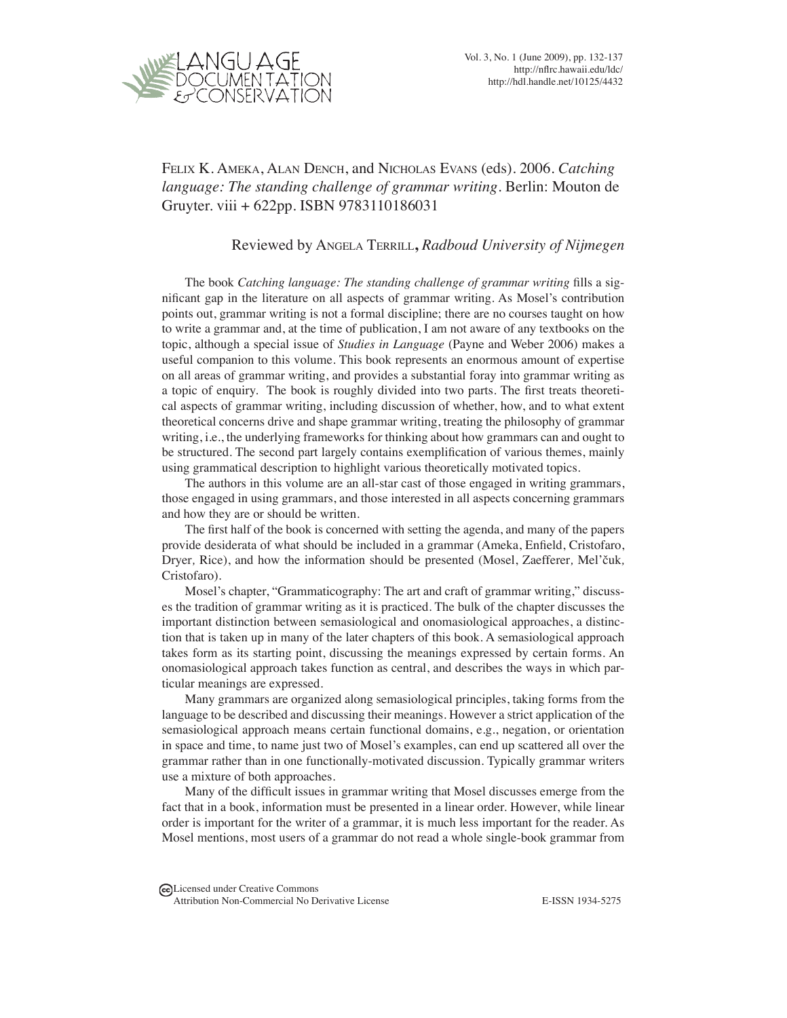

Felix K. Ameka, Alan Dench, and Nicholas Evans (eds). 2006. *Catching language: The standing challenge of grammar writing*. Berlin: Mouton de Gruyter. viii + 622pp. ISBN 9783110186031.

## Reviewed by Angela Terrill**,** *Radboud University of Nijmegen*

The book *Catching language: The standing challenge of grammar writing* fills a significant gap in the literature on all aspects of grammar writing. As Mosel's contribution points out, grammar writing is not a formal discipline; there are no courses taught on how to write a grammar and, at the time of publication, I am not aware of any textbooks on the topic, although a special issue of *Studies in Language* (Payne and Weber 2006) makes a useful companion to this volume. This book represents an enormous amount of expertise on all areas of grammar writing, and provides a substantial foray into grammar writing as a topic of enquiry. The book is roughly divided into two parts. The first treats theoretical aspects of grammar writing, including discussion of whether, how, and to what extent theoretical concerns drive and shape grammar writing, treating the philosophy of grammar writing, i.e., the underlying frameworks for thinking about how grammars can and ought to be structured. The second part largely contains exemplification of various themes, mainly using grammatical description to highlight various theoretically motivated topics.

The authors in this volume are an all-star cast of those engaged in writing grammars, those engaged in using grammars, and those interested in all aspects concerning grammars and how they are or should be written.

The first half of the book is concerned with setting the agenda, and many of the papers provide desiderata of what should be included in a grammar (Ameka, Enfield, Cristofaro, Dryer*,* Rice), and how the information should be presented (Mosel, Zaefferer*,* Mel'čuk*,*  Cristofaro).

Mosel's chapter, "Grammaticography: The art and craft of grammar writing," discusses the tradition of grammar writing as it is practiced. The bulk of the chapter discusses the important distinction between semasiological and onomasiological approaches, a distinction that is taken up in many of the later chapters of this book. A semasiological approach takes form as its starting point, discussing the meanings expressed by certain forms. An onomasiological approach takes function as central, and describes the ways in which particular meanings are expressed.

Many grammars are organized along semasiological principles, taking forms from the language to be described and discussing their meanings. However a strict application of the semasiological approach means certain functional domains, e.g., negation, or orientation in space and time, to name just two of Mosel's examples, can end up scattered all over the grammar rather than in one functionally-motivated discussion. Typically grammar writers use a mixture of both approaches.

Many of the difficult issues in grammar writing that Mosel discusses emerge from the fact that in a book, information must be presented in a linear order. However, while linear order is important for the writer of a grammar, it is much less important for the reader. As Mosel mentions, most users of a grammar do not read a whole single-book grammar from

Licensed under Creative Commons Attribution Non-Commercial No Derivative License **E-ISSN 1934-5275**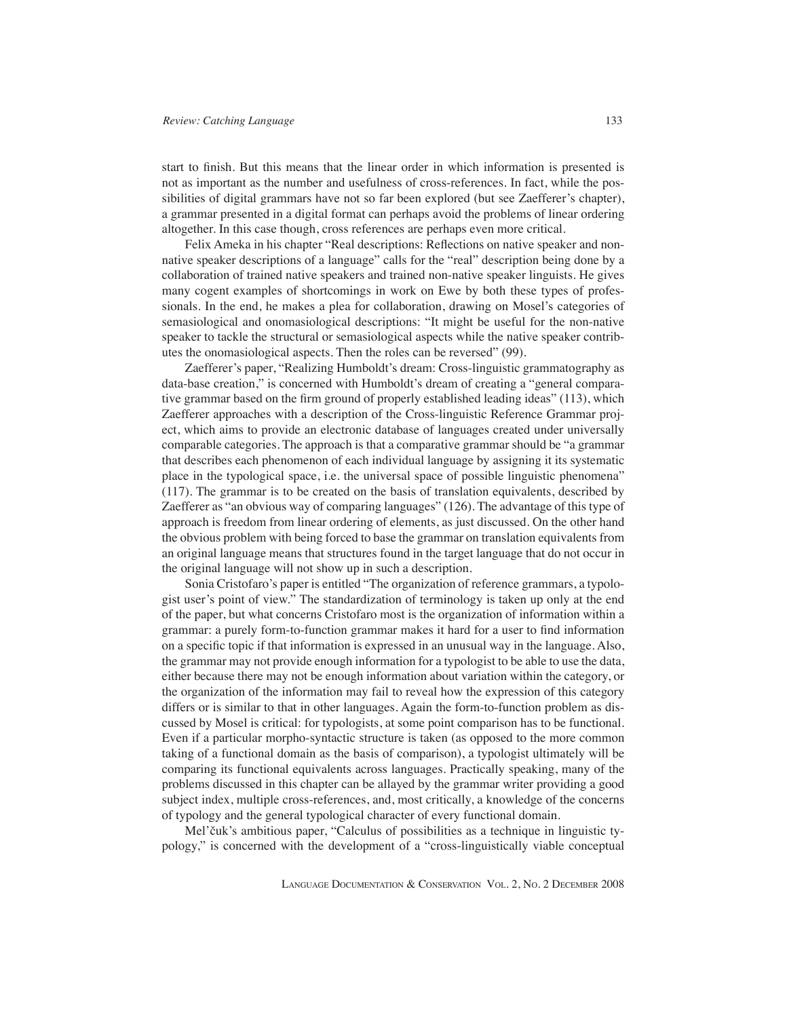start to finish. But this means that the linear order in which information is presented is not as important as the number and usefulness of cross-references. In fact, while the possibilities of digital grammars have not so far been explored (but see Zaefferer's chapter), a grammar presented in a digital format can perhaps avoid the problems of linear ordering altogether. In this case though, cross references are perhaps even more critical.

Felix Ameka in his chapter "Real descriptions: Reflections on native speaker and nonnative speaker descriptions of a language" calls for the "real" description being done by a collaboration of trained native speakers and trained non-native speaker linguists. He gives many cogent examples of shortcomings in work on Ewe by both these types of professionals. In the end, he makes a plea for collaboration, drawing on Mosel's categories of semasiological and onomasiological descriptions: "It might be useful for the non-native speaker to tackle the structural or semasiological aspects while the native speaker contributes the onomasiological aspects. Then the roles can be reversed" (99).

Zaefferer's paper, "Realizing Humboldt's dream: Cross-linguistic grammatography as data-base creation," is concerned with Humboldt's dream of creating a "general comparative grammar based on the firm ground of properly established leading ideas" (113), which Zaefferer approaches with a description of the Cross-linguistic Reference Grammar project, which aims to provide an electronic database of languages created under universally comparable categories. The approach is that a comparative grammar should be "a grammar that describes each phenomenon of each individual language by assigning it its systematic place in the typological space, i.e. the universal space of possible linguistic phenomena" (117). The grammar is to be created on the basis of translation equivalents, described by Zaefferer as "an obvious way of comparing languages" (126). The advantage of this type of approach is freedom from linear ordering of elements, as just discussed. On the other hand the obvious problem with being forced to base the grammar on translation equivalents from an original language means that structures found in the target language that do not occur in the original language will not show up in such a description.

Sonia Cristofaro's paper is entitled "The organization of reference grammars, a typologist user's point of view." The standardization of terminology is taken up only at the end of the paper, but what concerns Cristofaro most is the organization of information within a grammar: a purely form-to-function grammar makes it hard for a user to find information on a specific topic if that information is expressed in an unusual way in the language. Also, the grammar may not provide enough information for a typologist to be able to use the data, either because there may not be enough information about variation within the category, or the organization of the information may fail to reveal how the expression of this category differs or is similar to that in other languages. Again the form-to-function problem as discussed by Mosel is critical: for typologists, at some point comparison has to be functional. Even if a particular morpho-syntactic structure is taken (as opposed to the more common taking of a functional domain as the basis of comparison), a typologist ultimately will be comparing its functional equivalents across languages. Practically speaking, many of the problems discussed in this chapter can be allayed by the grammar writer providing a good subject index, multiple cross-references, and, most critically, a knowledge of the concerns of typology and the general typological character of every functional domain.

Mel'čuk's ambitious paper, "Calculus of possibilities as a technique in linguistic typology," is concerned with the development of a "cross-linguistically viable conceptual

Language Documentation & Conservation Vol. 2, No. 2 December 2008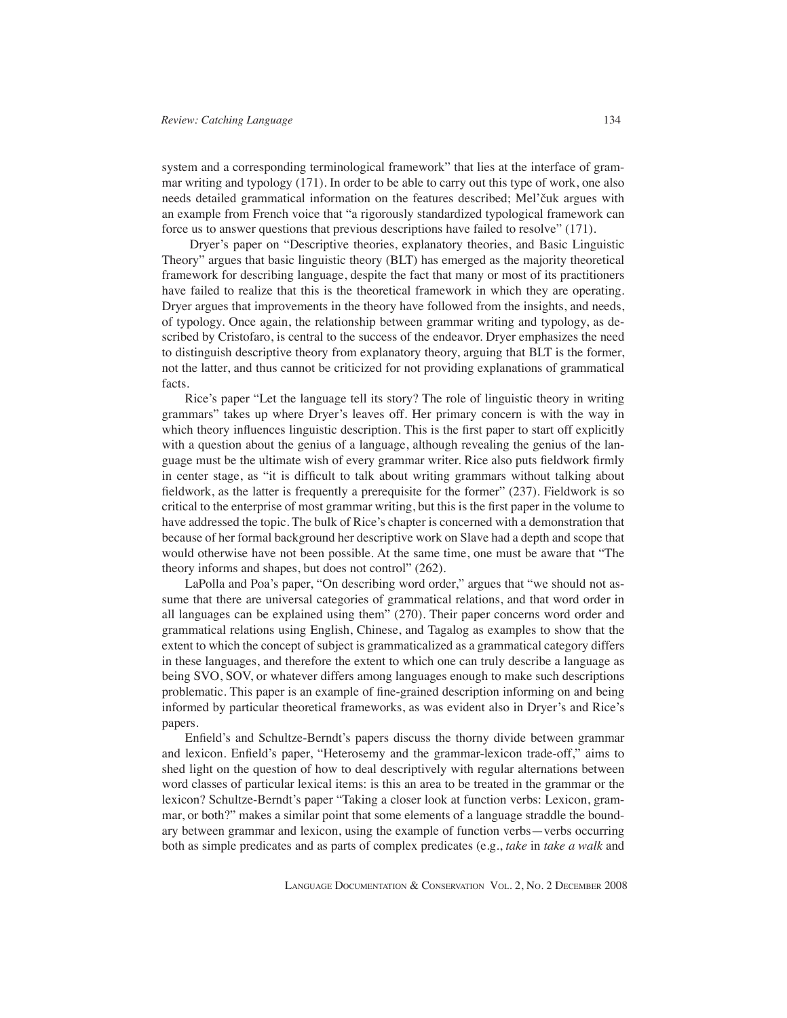system and a corresponding terminological framework" that lies at the interface of grammar writing and typology (171). In order to be able to carry out this type of work, one also needs detailed grammatical information on the features described; Mel'čuk argues with an example from French voice that "a rigorously standardized typological framework can force us to answer questions that previous descriptions have failed to resolve" (171).

 Dryer's paper on "Descriptive theories, explanatory theories, and Basic Linguistic Theory" argues that basic linguistic theory (BLT) has emerged as the majority theoretical framework for describing language, despite the fact that many or most of its practitioners have failed to realize that this is the theoretical framework in which they are operating. Dryer argues that improvements in the theory have followed from the insights, and needs, of typology. Once again, the relationship between grammar writing and typology, as described by Cristofaro, is central to the success of the endeavor. Dryer emphasizes the need to distinguish descriptive theory from explanatory theory, arguing that BLT is the former, not the latter, and thus cannot be criticized for not providing explanations of grammatical facts.

Rice's paper "Let the language tell its story? The role of linguistic theory in writing grammars" takes up where Dryer's leaves off. Her primary concern is with the way in which theory influences linguistic description. This is the first paper to start off explicitly with a question about the genius of a language, although revealing the genius of the language must be the ultimate wish of every grammar writer. Rice also puts fieldwork firmly in center stage, as "it is difficult to talk about writing grammars without talking about fieldwork, as the latter is frequently a prerequisite for the former" (237). Fieldwork is so critical to the enterprise of most grammar writing, but this is the first paper in the volume to have addressed the topic. The bulk of Rice's chapter is concerned with a demonstration that because of her formal background her descriptive work on Slave had a depth and scope that would otherwise have not been possible. At the same time, one must be aware that "The theory informs and shapes, but does not control" (262).

LaPolla and Poa's paper, "On describing word order," argues that "we should not assume that there are universal categories of grammatical relations, and that word order in all languages can be explained using them" (270). Their paper concerns word order and grammatical relations using English, Chinese, and Tagalog as examples to show that the extent to which the concept of subject is grammaticalized as a grammatical category differs in these languages, and therefore the extent to which one can truly describe a language as being SVO, SOV, or whatever differs among languages enough to make such descriptions problematic. This paper is an example of fine-grained description informing on and being informed by particular theoretical frameworks, as was evident also in Dryer's and Rice's papers.

Enfield's and Schultze-Berndt's papers discuss the thorny divide between grammar and lexicon. Enfield's paper, "Heterosemy and the grammar-lexicon trade-off," aims to shed light on the question of how to deal descriptively with regular alternations between word classes of particular lexical items: is this an area to be treated in the grammar or the lexicon? Schultze-Berndt's paper "Taking a closer look at function verbs: Lexicon, grammar, or both?" makes a similar point that some elements of a language straddle the boundary between grammar and lexicon, using the example of function verbs—verbs occurring both as simple predicates and as parts of complex predicates (e.g., *take* in *take a walk* and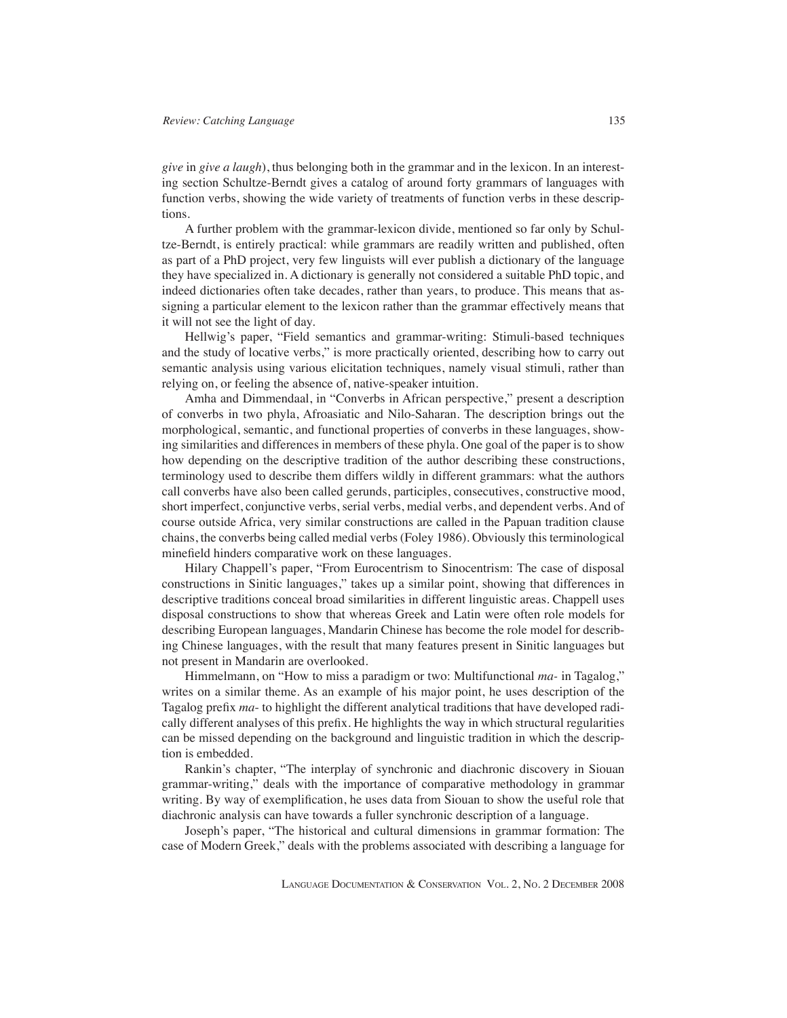*give* in *give a laugh*), thus belonging both in the grammar and in the lexicon. In an interesting section Schultze-Berndt gives a catalog of around forty grammars of languages with function verbs, showing the wide variety of treatments of function verbs in these descriptions.

A further problem with the grammar-lexicon divide, mentioned so far only by Schultze-Berndt, is entirely practical: while grammars are readily written and published, often as part of a PhD project, very few linguists will ever publish a dictionary of the language they have specialized in. A dictionary is generally not considered a suitable PhD topic, and indeed dictionaries often take decades, rather than years, to produce. This means that assigning a particular element to the lexicon rather than the grammar effectively means that it will not see the light of day.

Hellwig's paper, "Field semantics and grammar-writing: Stimuli-based techniques and the study of locative verbs," is more practically oriented, describing how to carry out semantic analysis using various elicitation techniques, namely visual stimuli, rather than relying on, or feeling the absence of, native-speaker intuition.

Amha and Dimmendaal, in "Converbs in African perspective," present a description of converbs in two phyla, Afroasiatic and Nilo-Saharan. The description brings out the morphological, semantic, and functional properties of converbs in these languages, showing similarities and differences in members of these phyla. One goal of the paper is to show how depending on the descriptive tradition of the author describing these constructions, terminology used to describe them differs wildly in different grammars: what the authors call converbs have also been called gerunds, participles, consecutives, constructive mood, short imperfect, conjunctive verbs, serial verbs, medial verbs, and dependent verbs. And of course outside Africa, very similar constructions are called in the Papuan tradition clause chains, the converbs being called medial verbs (Foley 1986). Obviously this terminological minefield hinders comparative work on these languages.

Hilary Chappell's paper, "From Eurocentrism to Sinocentrism: The case of disposal constructions in Sinitic languages," takes up a similar point, showing that differences in descriptive traditions conceal broad similarities in different linguistic areas. Chappell uses disposal constructions to show that whereas Greek and Latin were often role models for describing European languages, Mandarin Chinese has become the role model for describing Chinese languages, with the result that many features present in Sinitic languages but not present in Mandarin are overlooked.

Himmelmann, on "How to miss a paradigm or two: Multifunctional *ma-* in Tagalog," writes on a similar theme. As an example of his major point, he uses description of the Tagalog prefix *ma*- to highlight the different analytical traditions that have developed radically different analyses of this prefix. He highlights the way in which structural regularities can be missed depending on the background and linguistic tradition in which the description is embedded.

Rankin's chapter, "The interplay of synchronic and diachronic discovery in Siouan grammar-writing," deals with the importance of comparative methodology in grammar writing. By way of exemplification, he uses data from Siouan to show the useful role that diachronic analysis can have towards a fuller synchronic description of a language.

Joseph's paper, "The historical and cultural dimensions in grammar formation: The case of Modern Greek," deals with the problems associated with describing a language for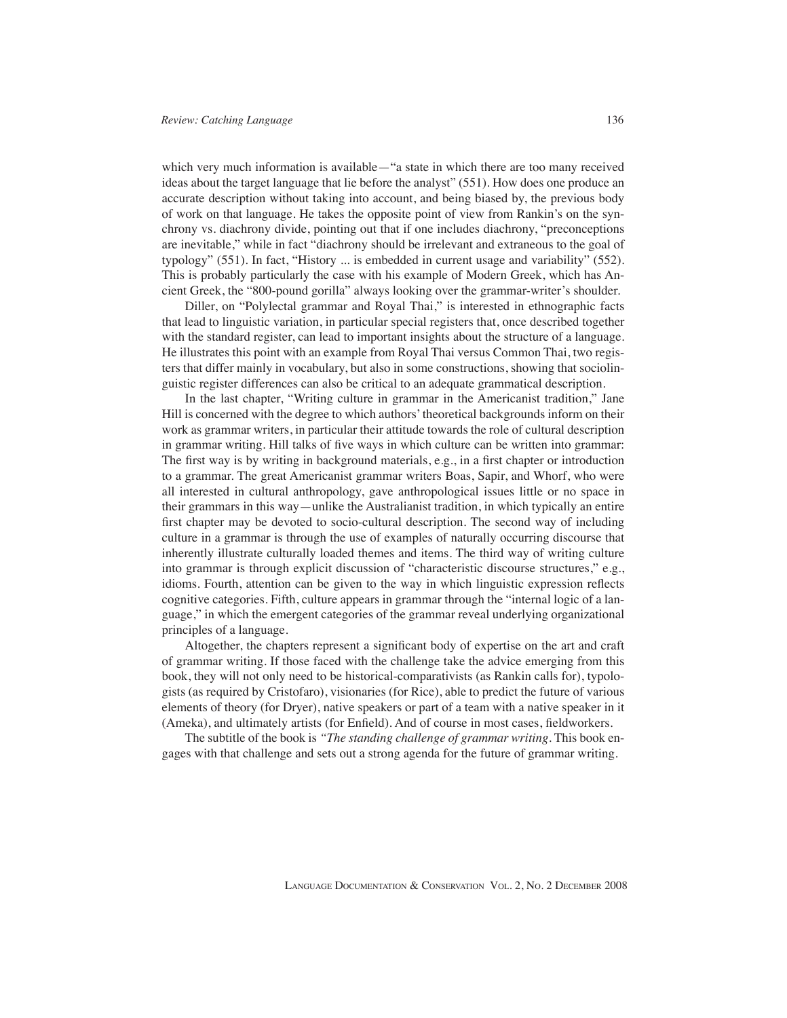which very much information is available—"a state in which there are too many received ideas about the target language that lie before the analyst" (551). How does one produce an accurate description without taking into account, and being biased by, the previous body of work on that language. He takes the opposite point of view from Rankin's on the synchrony vs. diachrony divide, pointing out that if one includes diachrony, "preconceptions are inevitable," while in fact "diachrony should be irrelevant and extraneous to the goal of typology" (551). In fact, "History ... is embedded in current usage and variability" (552). This is probably particularly the case with his example of Modern Greek, which has Ancient Greek, the "800-pound gorilla" always looking over the grammar-writer's shoulder.

Diller, on "Polylectal grammar and Royal Thai," is interested in ethnographic facts that lead to linguistic variation, in particular special registers that, once described together with the standard register, can lead to important insights about the structure of a language. He illustrates this point with an example from Royal Thai versus Common Thai, two registers that differ mainly in vocabulary, but also in some constructions, showing that sociolinguistic register differences can also be critical to an adequate grammatical description.

In the last chapter, "Writing culture in grammar in the Americanist tradition," Jane Hill is concerned with the degree to which authors' theoretical backgrounds inform on their work as grammar writers, in particular their attitude towards the role of cultural description in grammar writing. Hill talks of five ways in which culture can be written into grammar: The first way is by writing in background materials, e.g., in a first chapter or introduction to a grammar. The great Americanist grammar writers Boas, Sapir, and Whorf, who were all interested in cultural anthropology, gave anthropological issues little or no space in their grammars in this way—unlike the Australianist tradition, in which typically an entire first chapter may be devoted to socio-cultural description. The second way of including culture in a grammar is through the use of examples of naturally occurring discourse that inherently illustrate culturally loaded themes and items. The third way of writing culture into grammar is through explicit discussion of "characteristic discourse structures," e.g., idioms. Fourth, attention can be given to the way in which linguistic expression reflects cognitive categories. Fifth, culture appears in grammar through the "internal logic of a language," in which the emergent categories of the grammar reveal underlying organizational principles of a language.

Altogether, the chapters represent a significant body of expertise on the art and craft of grammar writing. If those faced with the challenge take the advice emerging from this book, they will not only need to be historical-comparativists (as Rankin calls for), typologists (as required by Cristofaro), visionaries (for Rice), able to predict the future of various elements of theory (for Dryer), native speakers or part of a team with a native speaker in it (Ameka), and ultimately artists (for Enfield). And of course in most cases, fieldworkers.

The subtitle of the book is *"The standing challenge of grammar writing*. This book engages with that challenge and sets out a strong agenda for the future of grammar writing.